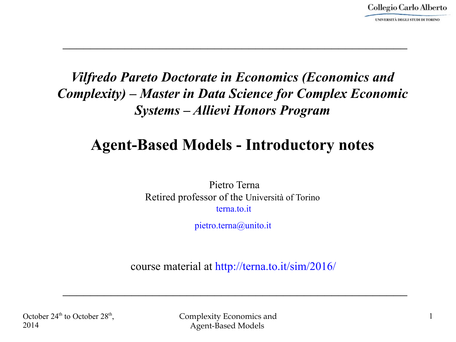1

#### *Vilfredo Pareto Doctorate in Economics (Economics and Complexity) – Master in Data Science for Complex Economic Systems – Allievi Honors Program*

 $\mathcal{L}_\text{max}$  and  $\mathcal{L}_\text{max}$  and  $\mathcal{L}_\text{max}$  and  $\mathcal{L}_\text{max}$  and  $\mathcal{L}_\text{max}$  and  $\mathcal{L}_\text{max}$ 

#### **Agent-Based Models - Introductory notes**

Pietro Terna Retired professor of the Università of Torino terna to it.

pietro.terna@unito.it

course material at http://terna.to.it/sim/2016/

 $\mathcal{L}_\text{max}$  and  $\mathcal{L}_\text{max}$  and  $\mathcal{L}_\text{max}$  and  $\mathcal{L}_\text{max}$  and  $\mathcal{L}_\text{max}$  and  $\mathcal{L}_\text{max}$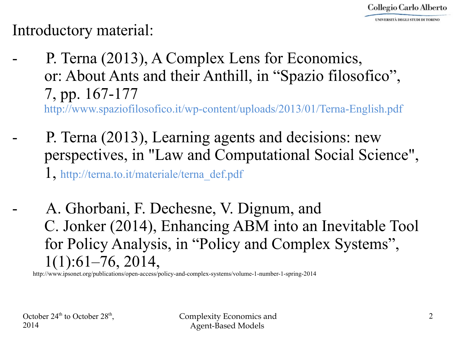Introductory material:

P. Terna (2013), A Complex Lens for Economics, or: About Ants and their Anthill, in "Spazio filosofico", 7, pp. 167-177

<http://www.spaziofilosofico.it/wp-content/uploads/2013/01/Terna-English.pdf>

- P. Terna (2013), Learning agents and decisions: new perspectives, in "Law and Computational Social Science", 1, http://terna.to.it/materiale/terna\_def.pdf
	- A. Ghorbani, F. Dechesne, V. Dignum, and C. Jonker (2014), Enhancing ABM into an Inevitable Tool for Policy Analysis, in "Policy and Complex Systems", 1(1):61–76, 2014,

<http://www.ipsonet.org/publications/open-access/policy-and-complex-systems/volume-1-number-1-spring-2014>

October  $24<sup>th</sup>$  to October  $28<sup>th</sup>$ , 2014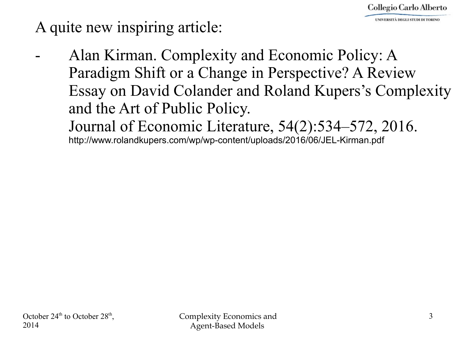A quite new inspiring article:

Alan Kirman. Complexity and Economic Policy: A Paradigm Shift or a Change in Perspective? A Review Essay on David Colander and Roland Kupers's Complexity and the Art of Public Policy. Journal of Economic Literature, 54(2):534–572, 2016. <http://www.rolandkupers.com/wp/wp-content/uploads/2016/06/JEL-Kirman.pdf>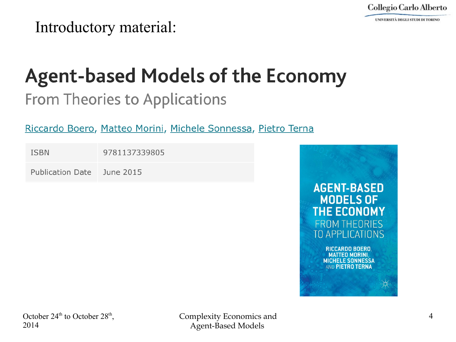UNIVERSITÀ DEGLI STUDI DI TORINO

Introductory material:

# **Agent-based Models of the Economy**

### From Theories to Applications

#### Riccardo Boero, Matteo Morini, Michele Sonnessa, Pietro Terna

| <b>ISBN</b>             | 9781137339805 |
|-------------------------|---------------|
| <b>Publication Date</b> | June 2015     |

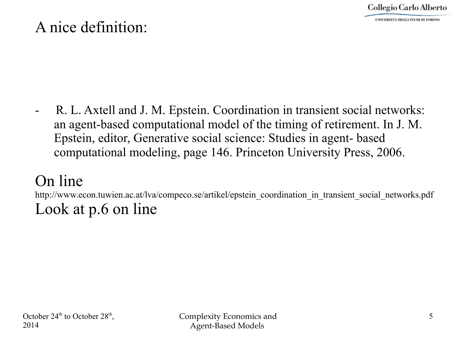#### A nice definition:

R. L. Axtell and J. M. Epstein. Coordination in transient social networks: an agent-based computational model of the timing of retirement. In J. M. Epstein, editor, Generative social science: Studies in agent- based computational modeling, page 146. Princeton University Press, 2006.

#### On line

[http://www.econ.tuwien.ac.at/lva/compeco.se/artikel/epstein\\_coordination\\_in\\_transient\\_social\\_networks.pdf](http://www.econ.tuwien.ac.at/lva/compeco.se/artikel/epstein_coordination_in_transient_social_networks.pdf) Look at p.6 on line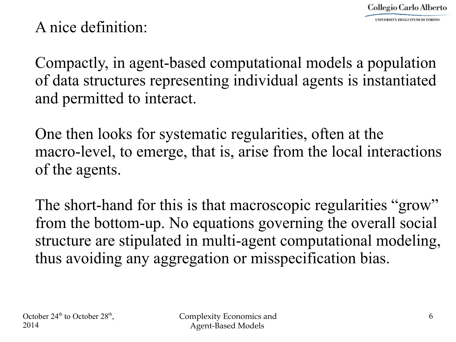#### A nice definition:

Compactly, in agent-based computational models a population of data structures representing individual agents is instantiated and permitted to interact.

One then looks for systematic regularities, often at the macro-level, to emerge, that is, arise from the local interactions of the agents.

The short-hand for this is that macroscopic regularities "grow" from the bottom-up. No equations governing the overall social structure are stipulated in multi-agent computational modeling, thus avoiding any aggregation or misspecification bias.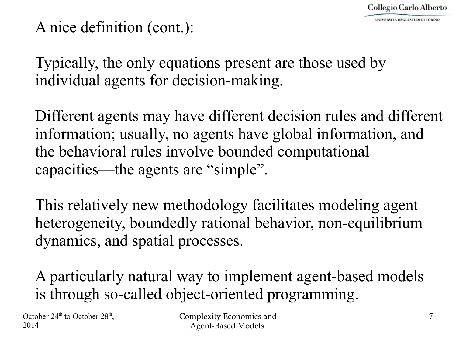#### A nice definition (cont.):

Typically, the only equations present are those used by individual agents for decision-making.

Different agents may have different decision rules and different information; usually, no agents have global information, and the behavioral rules involve bounded computational capacities—the agents are "simple".

This relatively new methodology facilitates modeling agent heterogeneity, boundedly rational behavior, non-equilibrium dynamics, and spatial processes.

A particularly natural way to implement agent-based models is through so-called object-oriented programming.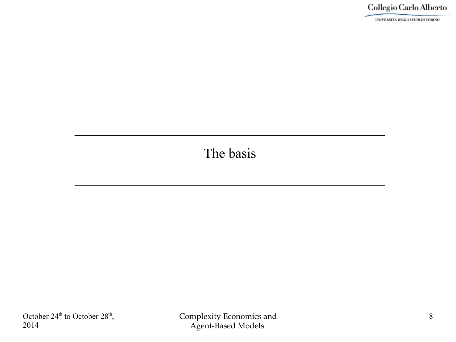UNIVERSITÀ DEGLI STUDI DI TORINO

#### The basis

 $\mathcal{L}_\text{max}$  and  $\mathcal{L}_\text{max}$  and  $\mathcal{L}_\text{max}$  and  $\mathcal{L}_\text{max}$  and  $\mathcal{L}_\text{max}$  and  $\mathcal{L}_\text{max}$ 

 $\mathcal{L}_\text{max}$  and  $\mathcal{L}_\text{max}$  and  $\mathcal{L}_\text{max}$  and  $\mathcal{L}_\text{max}$  and  $\mathcal{L}_\text{max}$  and  $\mathcal{L}_\text{max}$ 

October  $24<sup>th</sup>$  to October  $28<sup>th</sup>$ , 2014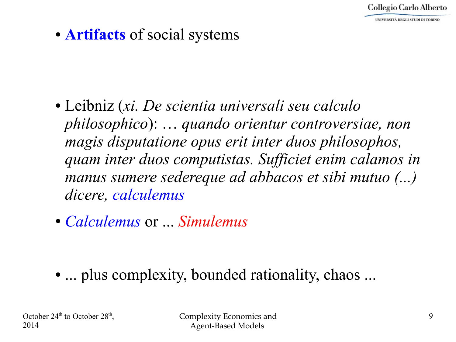Collegio Carlo Alberto

● **Artifacts** of social systems

- Leibniz (*xi. De scientia universali seu calculo philosophico*): … *quando orientur controversiae, non magis disputatione opus erit inter duos philosophos, quam inter duos computistas. Sufficiet enim calamos in manus sumere sedereque ad abbacos et sibi mutuo (...) dicere, calculemus*
- *Calculemus* or ... *Simulemus*

• ... plus complexity, bounded rationality, chaos ...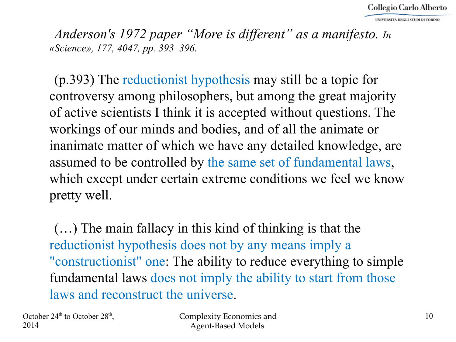*Anderson's 1972 paper "More is different" as a manifesto. In «Science», 177, 4047, pp. 393–396.*

(p.393) The reductionist hypothesis may still be a topic for controversy among philosophers, but among the great majority of active scientists I think it is accepted without questions. The workings of our minds and bodies, and of all the animate or inanimate matter of which we have any detailed knowledge, are assumed to be controlled by the same set of fundamental laws, which except under certain extreme conditions we feel we know pretty well.

(…) The main fallacy in this kind of thinking is that the reductionist hypothesis does not by any means imply a "constructionist" one: The ability to reduce everything to simple fundamental laws does not imply the ability to start from those laws and reconstruct the universe.

October  $24<sup>th</sup>$  to October  $28<sup>th</sup>$ , 2014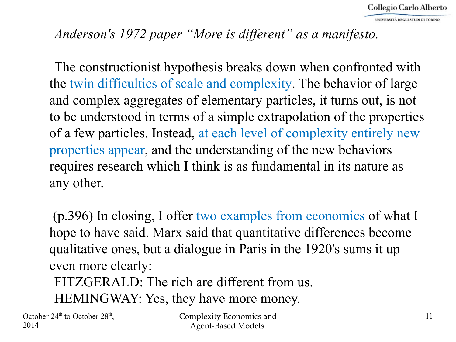#### *Anderson's 1972 paper "More is different" as a manifesto.*

The constructionist hypothesis breaks down when confronted with the twin difficulties of scale and complexity. The behavior of large and complex aggregates of elementary particles, it turns out, is not to be understood in terms of a simple extrapolation of the properties of a few particles. Instead, at each level of complexity entirely new properties appear, and the understanding of the new behaviors requires research which I think is as fundamental in its nature as any other.

(p.396) In closing, I offer two examples from economics of what I hope to have said. Marx said that quantitative differences become qualitative ones, but a dialogue in Paris in the 1920's sums it up even more clearly:

FITZGERALD: The rich are different from us. HEMINGWAY: Yes, they have more money.

October  $24<sup>th</sup>$  to October  $28<sup>th</sup>$ , 2014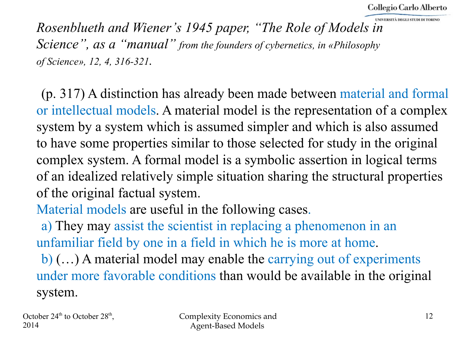*Rosenblueth and Wiener's 1945 paper, "The Role of Models in Science", as a "manual" from the founders of cybernetics, in «Philosophy of Science», 12, 4, 316-321.*

(p. 317) A distinction has already been made between material and formal or intellectual models. A material model is the representation of a complex system by a system which is assumed simpler and which is also assumed to have some properties similar to those selected for study in the original complex system. A formal model is a symbolic assertion in logical terms of an idealized relatively simple situation sharing the structural properties of the original factual system.

Material models are useful in the following cases.

a) They may assist the scientist in replacing a phenomenon in an unfamiliar field by one in a field in which he is more at home. b) (…) A material model may enable the carrying out of experiments under more favorable conditions than would be available in the original system.

```
October 24<sup>th</sup> to October 28<sup>th</sup>,
2014
```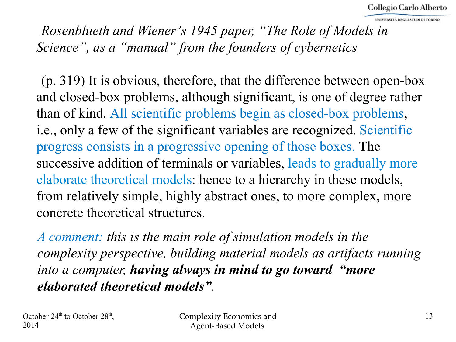*Rosenblueth and Wiener's 1945 paper, "The Role of Models in Science", as a "manual" from the founders of cybernetics*

(p. 319) It is obvious, therefore, that the difference between open-box and closed-box problems, although significant, is one of degree rather than of kind. All scientific problems begin as closed-box problems, i.e., only a few of the significant variables are recognized. Scientific progress consists in a progressive opening of those boxes. The successive addition of terminals or variables, leads to gradually more elaborate theoretical models: hence to a hierarchy in these models, from relatively simple, highly abstract ones, to more complex, more concrete theoretical structures.

*A comment: this is the main role of simulation models in the complexity perspective, building material models as artifacts running into a computer, having always in mind to go toward "more elaborated theoretical models".*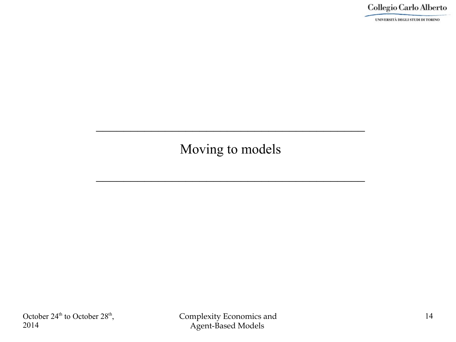UNIVERSITÀ DEGLI STUDI DI TORINO

#### Moving to models

 $\mathcal{L}_\text{max}$  and  $\mathcal{L}_\text{max}$  and  $\mathcal{L}_\text{max}$  and  $\mathcal{L}_\text{max}$  and  $\mathcal{L}_\text{max}$ 

 $\mathcal{L}_\text{max}$  and  $\mathcal{L}_\text{max}$  and  $\mathcal{L}_\text{max}$  and  $\mathcal{L}_\text{max}$  and  $\mathcal{L}_\text{max}$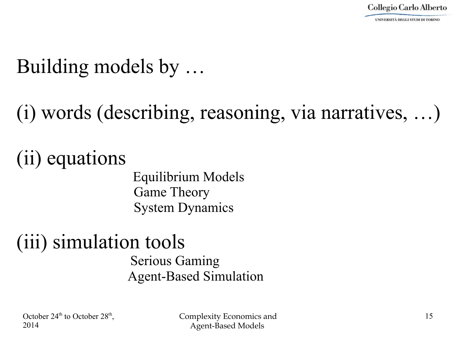### Building models by …

(i) words (describing, reasoning, via narratives, …)

(ii) equations

 Equilibrium Models Game Theory System Dynamics

#### (iii) simulation tools Serious Gaming Agent-Based Simulation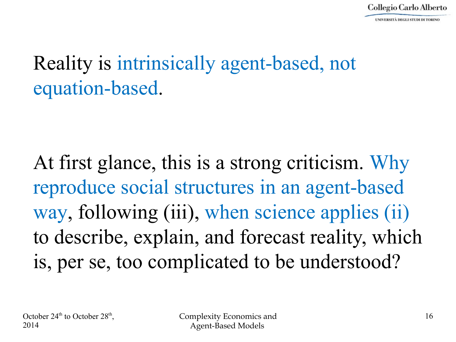### Reality is intrinsically agent-based, not equation-based.

At first glance, this is a strong criticism. Why reproduce social structures in an agent-based way, following (iii), when science applies (ii) to describe, explain, and forecast reality, which is, per se, too complicated to be understood?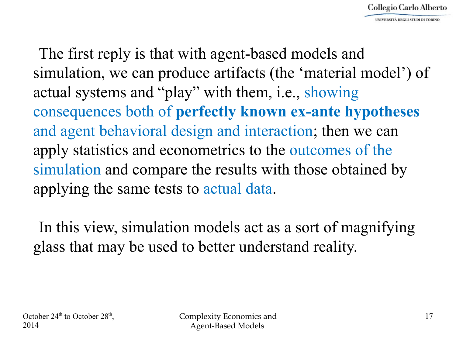The first reply is that with agent-based models and simulation, we can produce artifacts (the 'material model') of actual systems and "play" with them, i.e., showing consequences both of **perfectly known ex-ante hypotheses** and agent behavioral design and interaction; then we can apply statistics and econometrics to the outcomes of the simulation and compare the results with those obtained by applying the same tests to actual data.

In this view, simulation models act as a sort of magnifying glass that may be used to better understand reality.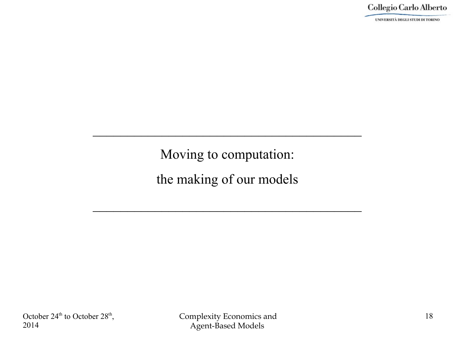UNIVERSITÀ DEGLI STUDI DI TORINO

Moving to computation:

 $\mathcal{L}_\text{max}$  and  $\mathcal{L}_\text{max}$  and  $\mathcal{L}_\text{max}$  and  $\mathcal{L}_\text{max}$  and  $\mathcal{L}_\text{max}$ 

the making of our models

 $\mathcal{L}_\text{max}$  and  $\mathcal{L}_\text{max}$  and  $\mathcal{L}_\text{max}$  and  $\mathcal{L}_\text{max}$  and  $\mathcal{L}_\text{max}$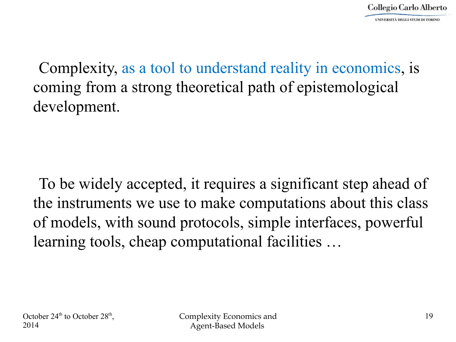Complexity, as a tool to understand reality in economics, is coming from a strong theoretical path of epistemological development.

To be widely accepted, it requires a significant step ahead of the instruments we use to make computations about this class of models, with sound protocols, simple interfaces, powerful learning tools, cheap computational facilities …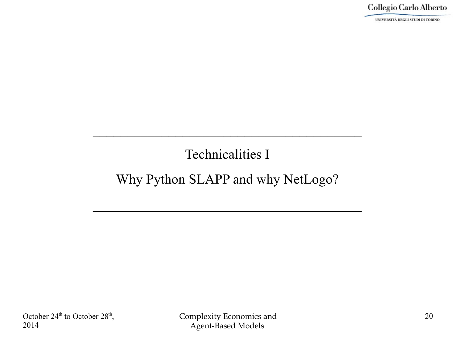UNIVERSITÀ DEGLI STUDI DI TORINO

#### Technicalities I

 $\mathcal{L}_\text{max}$  and  $\mathcal{L}_\text{max}$  and  $\mathcal{L}_\text{max}$  and  $\mathcal{L}_\text{max}$  and  $\mathcal{L}_\text{max}$ 

#### Why Python SLAPP and why NetLogo?

 $\mathcal{L}_\text{max}$  and  $\mathcal{L}_\text{max}$  and  $\mathcal{L}_\text{max}$  and  $\mathcal{L}_\text{max}$  and  $\mathcal{L}_\text{max}$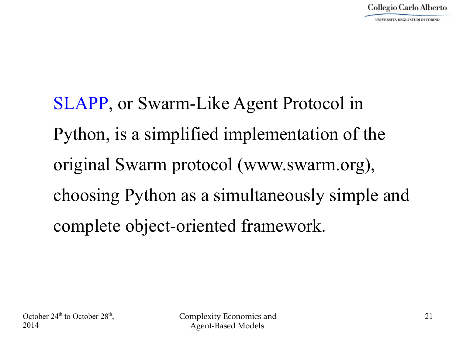SLAPP, or Swarm-Like Agent Protocol in Python, is a simplified implementation of the original Swarm protocol (www.swarm.org), choosing Python as a simultaneously simple and complete object-oriented framework.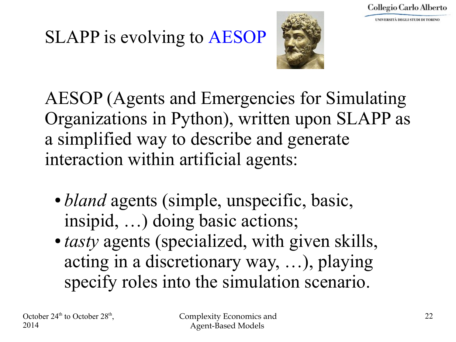### SLAPP is evolving to AESOP



AESOP (Agents and Emergencies for Simulating Organizations in Python), written upon SLAPP as a simplified way to describe and generate interaction within artificial agents:

- *bland* agents (simple, unspecific, basic, insipid, …) doing basic actions;
- *tasty* agents (specialized, with given skills, acting in a discretionary way, …), playing specify roles into the simulation scenario.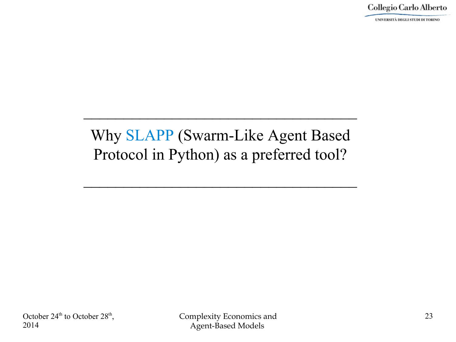UNIVERSITÀ DEGLI STUDI DI TORINO

#### Why SLAPP (Swarm-Like Agent Based Protocol in Python) as a preferred tool?

 $\mathcal{L}_\text{max}$  and  $\mathcal{L}_\text{max}$  and  $\mathcal{L}_\text{max}$  and  $\mathcal{L}_\text{max}$  and  $\mathcal{L}_\text{max}$ 

 $\mathcal{L}_\text{max}$  and  $\mathcal{L}_\text{max}$  and  $\mathcal{L}_\text{max}$  and  $\mathcal{L}_\text{max}$  and  $\mathcal{L}_\text{max}$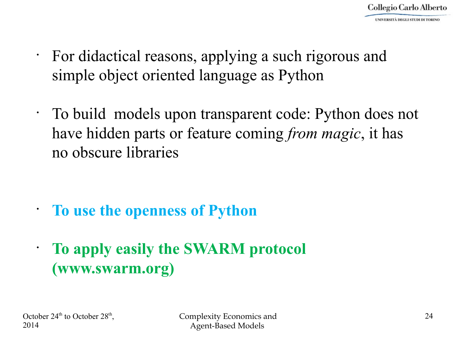- For didactical reasons, applying a such rigorous and simple object oriented language as Python
- To build models upon transparent code: Python does not have hidden parts or feature coming *from magic*, it has no obscure libraries

• **To use the openness of Python** 

• **To apply easily the SWARM protocol (www.swarm.org)**

October  $24<sup>th</sup>$  to October  $28<sup>th</sup>$ , 2014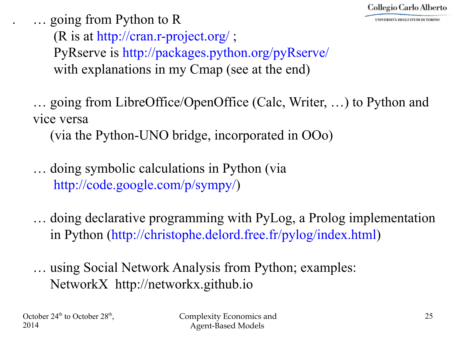

. … going from Python to R

(R is at<http://cran.r-project.org/>; PyRserve is http://packages.python.org/pyRserve/ with explanations in my Cmap (see at the end)

… going from LibreOffice/OpenOffice (Calc, Writer, …) to Python and vice versa

(via the Python-UNO bridge, incorporated in OOo)

… doing symbolic calculations in Python (via [http://code.google.com/p/sympy/\)](http://code.google.com/p/sympy/)

… doing declarative programming with PyLog, a Prolog implementation in Python [\(http://christophe.delord.free.fr/pylog/index.html\)](http://christophe.delord.free.fr/pylog/index.html)

… using Social Network Analysis from Python; examples: NetworkX [http://networkx.github.io](http://networkx.github.io/)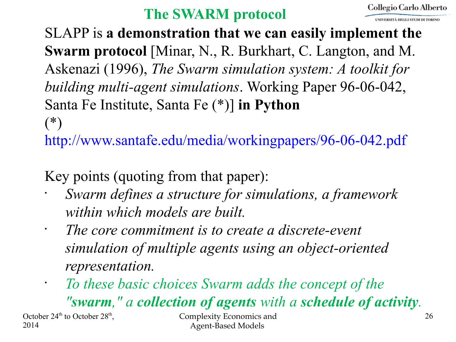#### **The SWARM protocol**

SLAPP is **a demonstration that we can easily implement the Swarm protocol** [Minar, N., R. Burkhart, C. Langton, and M. Askenazi (1996), *The Swarm simulation system: A toolkit for building multi-agent simulations*. Working Paper 96-06-042, Santa Fe Institute, Santa Fe (\*)] **in Python**  $(*)$ 

<http://www.santafe.edu/media/workingpapers/96-06-042.pdf>

Key points (quoting from that paper):

- *Swarm defines a structure for simulations, a framework within which models are built.*
- *The core commitment is to create a discrete-event simulation of multiple agents using an object-oriented representation.*
- *To these basic choices Swarm adds the concept of the "swarm," a collection of agents with a schedule of activity.*

October  $24<sup>th</sup>$  to October  $28<sup>th</sup>$ , 2014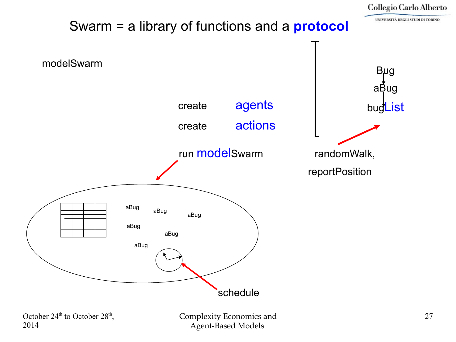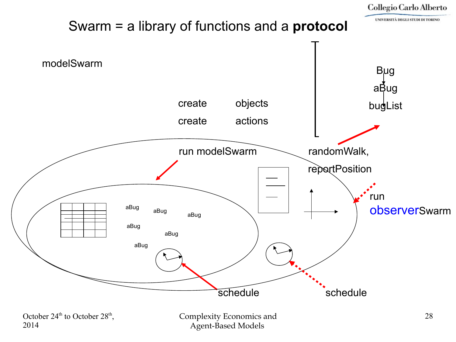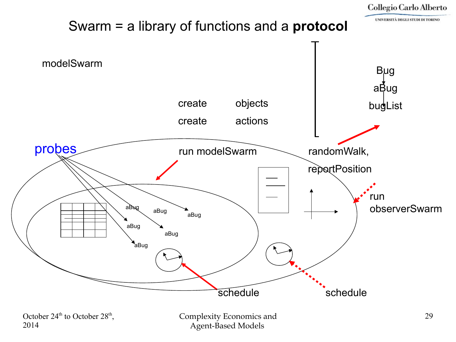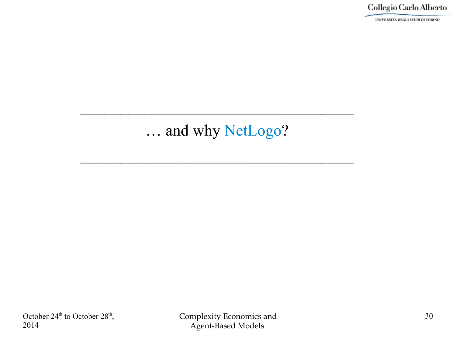UNIVERSITÀ DEGLI STUDI DI TORINO

#### … and why NetLogo?

 $\mathcal{L}_\text{max}$  and  $\mathcal{L}_\text{max}$  and  $\mathcal{L}_\text{max}$  are the set of  $\mathcal{L}_\text{max}$  and  $\mathcal{L}_\text{max}$ 

 $\mathcal{L}_\text{max}$  and  $\mathcal{L}_\text{max}$  and  $\mathcal{L}_\text{max}$  and  $\mathcal{L}_\text{max}$  and  $\mathcal{L}_\text{max}$  and  $\mathcal{L}_\text{max}$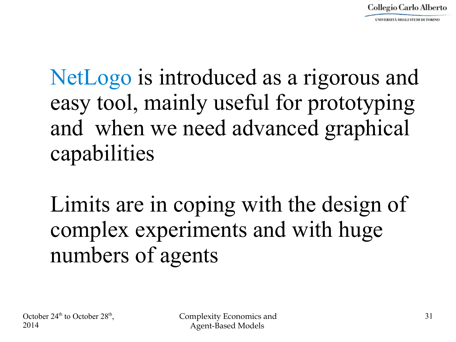## NetLogo is introduced as a rigorous and easy tool, mainly useful for prototyping and when we need advanced graphical capabilities

Limits are in coping with the design of complex experiments and with huge numbers of agents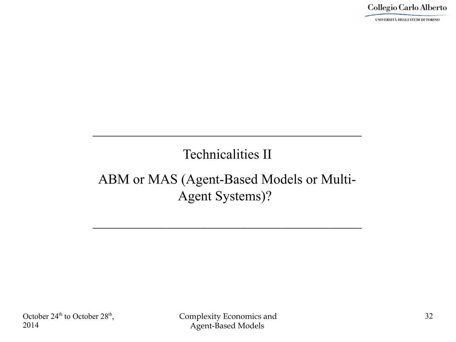UNIVERSITÀ DEGLI STUDI DI TORINO

#### Technicalities II

 $\mathcal{L}_\text{max}$  and  $\mathcal{L}_\text{max}$  and  $\mathcal{L}_\text{max}$  and  $\mathcal{L}_\text{max}$  and  $\mathcal{L}_\text{max}$ 

#### ABM or MAS (Agent-Based Models or Multi-Agent Systems)?

 $\mathcal{L}_\text{max}$  and  $\mathcal{L}_\text{max}$  and  $\mathcal{L}_\text{max}$  and  $\mathcal{L}_\text{max}$  and  $\mathcal{L}_\text{max}$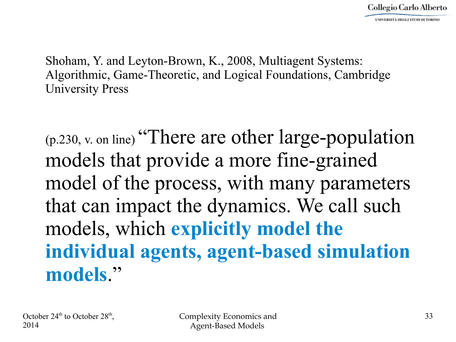Shoham, Y. and Leyton-Brown, K., 2008, Multiagent Systems: Algorithmic, Game-Theoretic, and Logical Foundations, Cambridge University Press

 $(p.230, v.$  on line) "There are other large-population models that provide a more fine-grained model of the process, with many parameters that can impact the dynamics. We call such models, which **explicitly model the individual agents, agent-based simulation models**."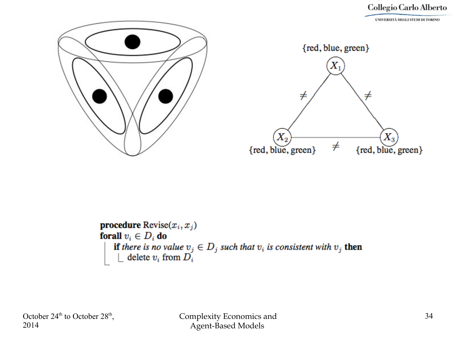

procedure  $\text{Review}(x_i, x_j)$ forall  $v_i \in D_i$  do **if** there is no value  $v_j \in D_j$  such that  $v_i$  is consistent with  $v_j$  then delete  $v_i$  from  $D_i$ 

October  $24<sup>th</sup>$  to October  $28<sup>th</sup>$ , 2014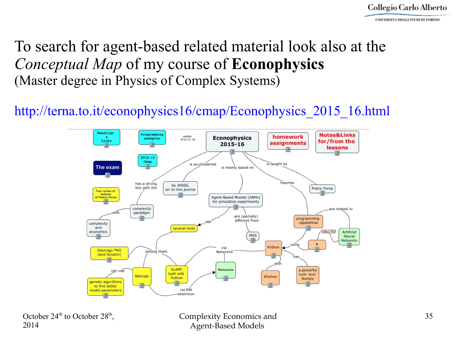#### To search for agent-based related material look also at the *Conceptual Map* of my course of **Econophysics**  (Master degree in Physics of Complex Systems)

#### [http://terna.to.it/econophysics16/cmap/Econophysics\\_2015\\_16.html](http://terna.to.it/econophysics16/cmap/Econophysics_2015_16.html)



October  $24<sup>th</sup>$  to October  $28<sup>th</sup>$ , 2014